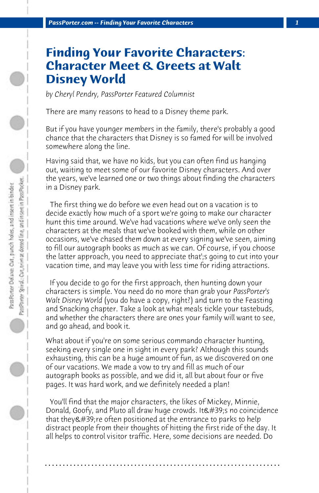## **Finding Your Favorite Characters: Character Meet & Greets at Walt Disney World**

*by Cheryl Pendry, PassPorter Featured Columnist*

There are many reasons to head to a Disney theme park.

But if you have younger members in the family, there's probably a good chance that the characters that Disney is so famed for will be involved somewhere along the line.

Having said that, we have no kids, but you can often find us hanging out, waiting to meet some of our favorite Disney characters. And over the years, we've learned one or two things about finding the characters in a Disney park.

 The first thing we do before we even head out on a vacation is to decide exactly how much of a sport we're going to make our character hunt this time around. We've had vacations where we've only seen the characters at the meals that we've booked with them, while on other occasions, we've chased them down at every signing we've seen, aiming to fill our autograph books as much as we can. Of course, if you choose the latter approach, you need to appreciate that';s going to cut into your vacation time, and may leave you with less time for riding attractions.

 If you decide to go for the first approach, then hunting down your characters is simple. You need do no more than grab your *PassPorter's Walt Disney World* (you do have a copy, right?) and turn to the Feasting and Snacking chapter. Take a look at what meals tickle your tastebuds, and whether the characters there are ones your family will want to see, and go ahead, and book it.

What about if you're on some serious commando character hunting, seeking every single one in sight in every park? Although this sounds exhausting, this can be a huge amount of fun, as we discovered on one of our vacations. We made a vow to try and fill as much of our autograph books as possible, and we did it, all but about four or five pages. It was hard work, and we definitely needed a plan!

 You'll find that the major characters, the likes of Mickey, Minnie, Donald, Goofy, and Pluto all draw huge crowds. It's no coincidence that they &  $\#39$ ; re often positioned at the entrance to parks to help distract people from their thoughts of hitting the first ride of the day. It all helps to control visitor traffic. Here, some decisions are needed. Do

**. . . . . . . . . . . . . . . . . . . . . . . . . . . . . . . . . . . . . . . . . . . . . . . . . . . . . . . . . . . . . . . . . .**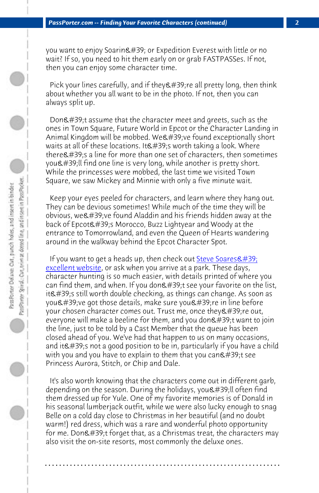*PassPorter.com -- Finding Your Favorite Characters (continued) 2*

you want to enjoy Soarin' or Expedition Everest with little or no wait? If so, you need to hit them early on or grab FASTPASSes. If not, then you can enjoy some character time.

Pick your lines carefully, and if they 're all pretty long, then think about whether you all want to be in the photo. If not, then you can always split up.

Don't assume that the character meet [and greets, such as t](http://wdwent.com/)he ones in Town Square, Future World in Epcot or the Character Landing in Animal Kingdom will be mobbed. We've found exceptionally short waits at all of these locations. It &  $\#39$ ; worth taking a look. Where there's a line for more than one set of characters, then sometimes you'll find one line is very long, while another is pretty short. While the princesses were mobbed, the last time we visited Town Square, we saw Mickey and Minnie with only a five minute wait.

 Keep your eyes peeled for characters, and learn where they hang out. They can be devious sometimes! While much of the time they will be obvious, we' ve found Aladdin and his friends hidden away at the back of Epcot's Morocco, Buzz Lightyear and Woody at the entrance to Tomorrowland, and even the Queen of Hearts wandering around in the walkway behind the Epcot Character Spot.

If you want to get a heads up, then check out Steve Soares $\&$ #39; excellent website, or ask when you arrive at a park. These days, character hunting is so much easier, with details printed of where you can find them, and when. If you don't see your favorite on the list, it's still worth double checking, as things can change. As soon as you've got those details, make sure you're in line before your chosen character comes out. Trust me, once they're out, everyone will make a beeline for them, and you don $\&$ #39;t want to join the line, just to be told by a Cast Member that the queue has been closed ahead of you. We've had that happen to us on many occasions, and it's not a good position to be in, particularly if you have a child with you and you have to explain to them that you can't see Princess Aurora, Stitch, or Chip and Dale.

 It's also worth knowing that the characters come out in different garb, depending on the season. During the holidays, you'll often find them dressed up for Yule. One of my favorite memories is of Donald in his seasonal lumberjack outfit, while we were also lucky enough to snag Belle on a cold day close to Christmas in her beautiful (and no doubt warm!) red dress, which was a rare and wonderful photo opportunity for me. Don't forget that, as a Christmas treat, the characters may also visit the on-site resorts, most commonly the deluxe ones.

**. . . . . . . . . . . . . . . . . . . . . . . . . . . . . . . . . . . . . . . . . . . . . . . . . . . . . . . . . . . . . . . . . .**